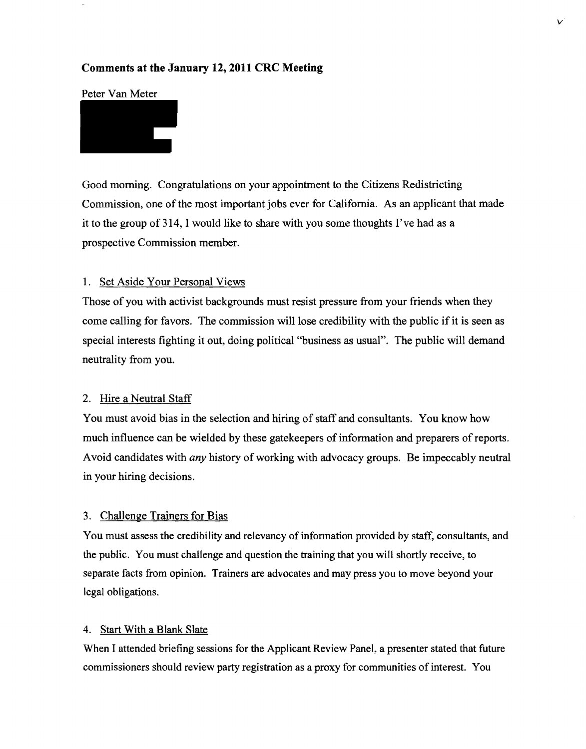# **Comments at the January 12, 2011 CRC Meeting**

## Peter Van Meter

Good morning. Congratulations on your appointment to the Citizens Redistricting Commission, one of the most important jobs ever for California. As an applicant that made it to the group of314, I would like to share with you some thoughts I've had as a prospective Commission member.

#### 1. Set Aside Your Personal Views

Those of you with activist backgrounds must resist pressure from your friends when they come calling for favors. The commission will lose credibility with the public if it is seen as special interests fighting it out, doing political "business as usual". The public will demand neutrality from you.

#### 2. Hire a Neutral Staff

You must avoid bias in the selection and hiring of staff and consultants. You know how much influence can be wielded by these gatekeepers of information and preparers of reports. Avoid candidates with *any* history of working with advocacy groups. Be impeccably neutral in your hiring decisions.

#### 3. Challenge Trainers for Bias

You must assess the credibility and relevancy of information provided by staff, consultants, and the public. You must challenge and question the training that you will shortly receive, to separate facts from opinion. Trainers are advocates and may press you to move beyond your legal obligations.

## 4. Start With a Blank Slate

When I attended briefing sessions for the Applicant Review Panel, a presenter stated that future commissioners should review party registration as a proxy for communities of interest. You